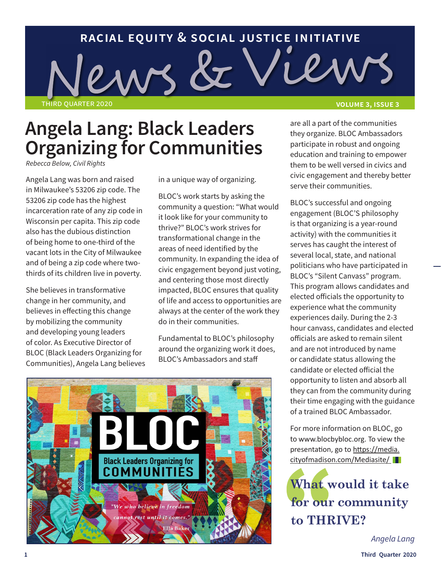# **racial equity & social justice initiative** third quarter 2020 **volume 3, issue 3**

### **Angela Lang: Black Leaders Organizing for Communities**

*Rebecca Below, Civil Rights*

Angela Lang was born and raised in Milwaukee's 53206 zip code. The 53206 zip code has the highest incarceration rate of any zip code in Wisconsin per capita. This zip code also has the dubious distinction of being home to one-third of the vacant lots in the City of Milwaukee and of being a zip code where twothirds of its children live in poverty.

She believes in transformative change in her community, and believes in effecting this change by mobilizing the community and developing young leaders of color. As Executive Director of BLOC (Black Leaders Organizing for Communities), Angela Lang believes in a unique way of organizing.

BLOC's work starts by asking the community a question: "What would it look like for your community to thrive?" BLOC's work strives for transformational change in the areas of need identified by the community. In expanding the idea of civic engagement beyond just voting, and centering those most directly impacted, BLOC ensures that quality of life and access to opportunities are always at the center of the work they do in their communities.

Fundamental to BLOC's philosophy around the organizing work it does, BLOC's Ambassadors and staff



are all a part of the communities they organize. BLOC Ambassadors participate in robust and ongoing education and training to empower them to be well versed in civics and civic engagement and thereby better serve their communities.

BLOC's successful and ongoing engagement (BLOC'S philosophy is that organizing is a year-round activity) with the communities it serves has caught the interest of several local, state, and national politicians who have participated in BLOC's "Silent Canvass" program. This program allows candidates and elected officials the opportunity to experience what the community experiences daily. During the 2-3 hour canvass, candidates and elected officials are asked to remain silent and are not introduced by name or candidate status allowing the candidate or elected official the opportunity to listen and absorb all they can from the community during their time engaging with the guidance of a trained BLOC Ambassador.

For more information on BLOC, go to [www.blocbybloc.org](http://www.blocbybloc.org). To view the presentation, go to https://media. cityofmadison.com/Mediasite/

**What would it take for our community to THRIVE?** 

*Angela Lang*

**1 Third Quarter 2020**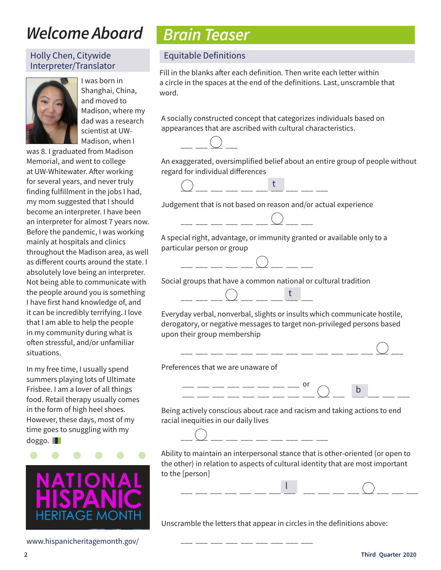### *Welcome Aboard*

#### Holly Chen, Citywide Interpreter/Translator



I was born in Shanghai, China, and moved to Madison, where my dad was a research scientist at UW-Madison, when I

was 8. I graduated from Madison Memorial, and went to college at UW-Whitewater. After working for several years, and never truly finding fulfillment in the jobs I had, my mom suggested that I should become an interpreter. I have been an interpreter for almost 7 years now. Before the pandemic, I was working mainly at hospitals and clinics throughout the Madison area, as well as different courts around the state. I absolutely love being an interpreter. Not being able to communicate with the people around you is something I have first hand knowledge of, and it can be incredibly terrifying. I love that I am able to help the people in my community during what is often stressful, and/or unfamiliar situations.

In my free time, I usually spend summers playing lots of Ultimate Frisbee. I am a lover of all things food. Retail therapy usually comes in the form of high heel shoes. However, these days, most of my time goes to snuggling with my doggo.



www.hispanicheritagemonth.gov/

### *Brain Teaser*

#### Equitable Definitions

Fill in the blanks after each definition. Then write each letter within a circle in the spaces at the end of the definitions. Last, unscramble that word.

A socially constructed concept that categorizes individuals based on appearances that are ascribed with cultural characteristics.



An exaggerated, oversimplified belief about an entire group of people without regard for individual differences



Judgement that is not based on reason and/or actual experience



A special right, advantage, or immunity granted or available only to a particular person or group



Social groups that have a common national or cultural tradition



Everyday verbal, nonverbal, slights or insults which communicate hostile, derogatory, or negative messages to target non-privileged persons based upon their group membership

Preferences that we are unaware of



 $-$ 

b

Being actively conscious about race and racism and taking actions to end racial inequities in our daily lives



\_\_\_ \_\_\_ \_\_\_ \_\_\_ \_\_\_ \_\_\_ \_\_\_ \_\_\_ \_\_\_

Ability to maintain an interpersonal stance that is other-oriented (or open to the other) in relation to aspects of cultural identity that are most important to the [person]

l

\_\_\_ \_\_\_ \_\_\_ \_\_\_ \_\_\_ \_\_\_ \_\_\_ \_\_\_ \_\_\_ \_\_\_ \_\_\_ \_\_\_ \_\_\_ \_\_\_ \_\_\_ \_\_\_ \_\_\_ \_\_\_

Unscramble the letters that appear in circles in the definitions above: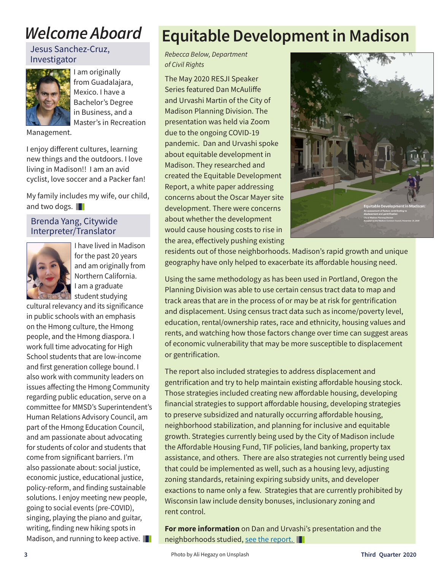### *Welcome Aboard*

#### Jesus Sanchez-Cruz, Investigator



**I** am originally from Guadalajara, Mexico. I have a Bachelor's Degree in Business, and a Master's in Recreation

Management.

I enjoy different cultures, learning new things and the outdoors. I love living in Madison!! I am an avid cyclist, love soccer and a Packer fan!

My family includes my wife, our child, and two dogs.

#### Brenda Yang, Citywide Interpreter/Translator



I have lived in Madison for the past 20 years and am originally from Northern California. I am a graduate student studying

cultural relevancy and its significance in public schools with an emphasis on the Hmong culture, the Hmong people, and the Hmong diaspora. I work full time advocating for High School students that are low-income and first generation college bound. I also work with community leaders on issues affecting the Hmong Community regarding public education, serve on a committee for MMSD's Superintendent's Human Relations Advisory Council, am part of the Hmong Education Council, and am passionate about advocating for students of color and students that come from significant barriers. I'm also passionate about: social justice, economic justice, educational justice, policy-reform, and finding sustainable solutions. I enjoy meeting new people, going to social events (pre-COVID), singing, playing the piano and guitar, writing, finding new hiking spots in Madison, and running to keep active.

### **Equitable Development in Madison**

*Rebecca Below, Department of Civil Rights*

The May 2020 RESJI Speaker Series featured Dan McAuliffe and Urvashi Martin of the City of Madison Planning Division. The presentation was held via Zoom due to the ongoing COVID-19 pandemic. Dan and Urvashi spoke about equitable development in Madison. They researched and created the Equitable Development Report, a white paper addressing concerns about the Oscar Mayer site development. There were concerns about whether the development would cause housing costs to rise in the area, effectively pushing existing



residents out of those neighborhoods. Madison's rapid growth and unique geography have only helped to exacerbate its affordable housing need.

Using the same methodology as has been used in Portland, Oregon the Planning Division was able to use certain census tract data to map and track areas that are in the process of or may be at risk for gentrification and displacement. Using census tract data such as income/poverty level, education, rental/ownership rates, race and ethnicity, housing values and rents, and watching how those factors change over time can suggest areas of economic vulnerability that may be more susceptible to displacement or gentrification.

The report also included strategies to address displacement and gentrification and try to help maintain existing affordable housing stock. Those strategies included creating new affordable housing, developing financial strategies to support affordable housing, developing strategies to preserve subsidized and naturally occurring affordable housing, neighborhood stabilization, and planning for inclusive and equitable growth. Strategies currently being used by the City of Madison include the Affordable Housing Fund, TIF policies, land banking, property tax assistance, and others. There are also strategies not currently being used that could be implemented as well, such as a housing levy, adjusting zoning standards, retaining expiring subsidy units, and developer exactions to name only a few. Strategies that are currently prohibited by Wisconsin law include density bonuses, inclusionary zoning and rent control.

**For more information** on Dan and Urvashi's presentation and the neighborhoods studied, see the report.